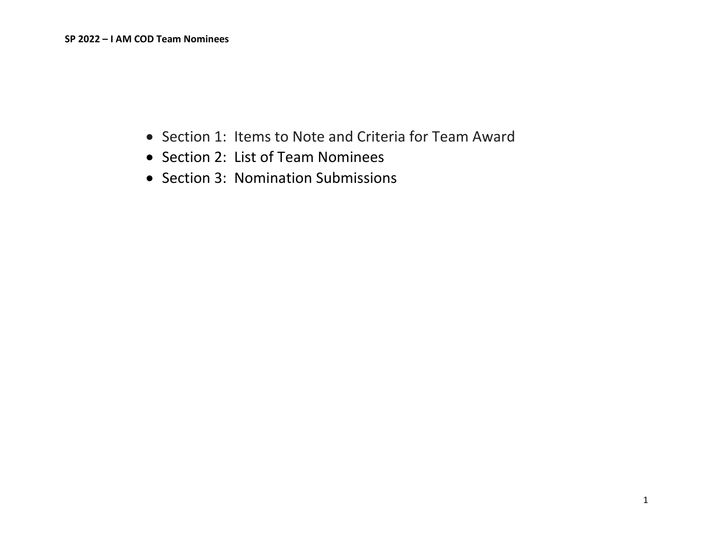- Section 1: Items to Note and Criteria for Team Award
- Section 2: List of Team Nominees
- Section 3: Nomination Submissions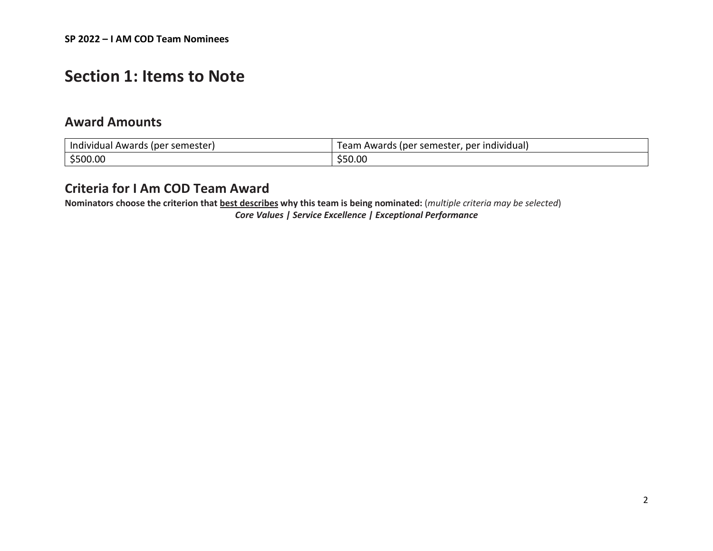## **Section 1: Items to Note**

### **Award Amounts**

| Individual Awards (per semester) | Team Awards (per semester, per individual) |
|----------------------------------|--------------------------------------------|
| \$500.00                         | \$50.00                                    |

## **Criteria for I Am COD Team Award**

**Nominators choose the criterion that best describes why this team is being nominated:** (*multiple criteria may be selected*)

*Core Values | Service Excellence | Exceptional Performance*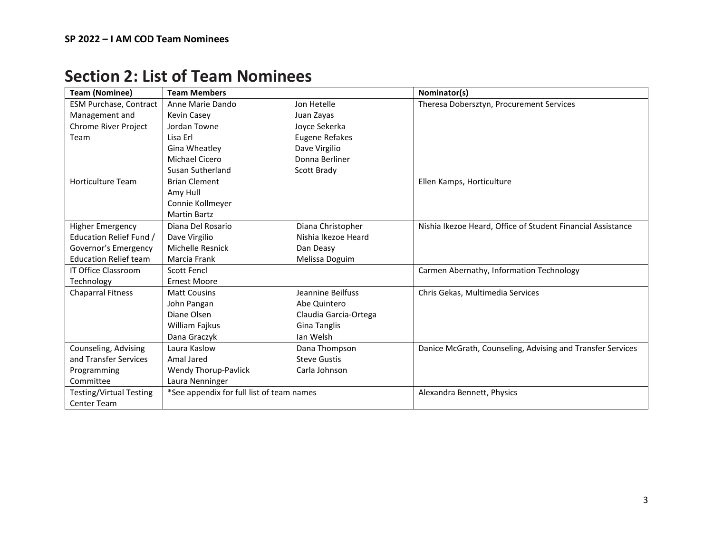| <b>Team (Nominee)</b>          | <b>Team Members</b>                       |                       | Nominator(s)                                                |
|--------------------------------|-------------------------------------------|-----------------------|-------------------------------------------------------------|
| ESM Purchase, Contract         | Anne Marie Dando                          | Jon Hetelle           | Theresa Dobersztyn, Procurement Services                    |
| Management and                 | <b>Kevin Casey</b>                        | Juan Zayas            |                                                             |
| Chrome River Project           | Jordan Towne                              | Joyce Sekerka         |                                                             |
| Team                           | Lisa Erl                                  | <b>Eugene Refakes</b> |                                                             |
|                                | Gina Wheatley                             | Dave Virgilio         |                                                             |
|                                | Michael Cicero                            | Donna Berliner        |                                                             |
|                                | Susan Sutherland                          | Scott Brady           |                                                             |
| <b>Horticulture Team</b>       | <b>Brian Clement</b>                      |                       | Ellen Kamps, Horticulture                                   |
|                                | Amy Hull                                  |                       |                                                             |
|                                | Connie Kollmeyer                          |                       |                                                             |
|                                | <b>Martin Bartz</b>                       |                       |                                                             |
| <b>Higher Emergency</b>        | Diana Del Rosario                         | Diana Christopher     | Nishia Ikezoe Heard, Office of Student Financial Assistance |
| Education Relief Fund /        | Dave Virgilio                             | Nishia Ikezoe Heard   |                                                             |
| Governor's Emergency           | Michelle Resnick                          | Dan Deasy             |                                                             |
| <b>Education Relief team</b>   | Marcia Frank                              | Melissa Doguim        |                                                             |
| <b>IT Office Classroom</b>     | <b>Scott Fencl</b>                        |                       | Carmen Abernathy, Information Technology                    |
| Technology                     | <b>Ernest Moore</b>                       |                       |                                                             |
| <b>Chaparral Fitness</b>       | <b>Matt Cousins</b>                       | Jeannine Beilfuss     | Chris Gekas, Multimedia Services                            |
|                                | John Pangan                               | Abe Quintero          |                                                             |
|                                | Diane Olsen                               | Claudia Garcia-Ortega |                                                             |
|                                | William Fajkus                            | <b>Gina Tanglis</b>   |                                                             |
|                                | Dana Graczyk                              | Ian Welsh             |                                                             |
| Counseling, Advising           | Laura Kaslow                              | Dana Thompson         | Danice McGrath, Counseling, Advising and Transfer Services  |
| and Transfer Services          | Amal Jared                                | <b>Steve Gustis</b>   |                                                             |
| Programming                    | <b>Wendy Thorup-Pavlick</b>               | Carla Johnson         |                                                             |
| Committee                      | Laura Nenninger                           |                       |                                                             |
| <b>Testing/Virtual Testing</b> | *See appendix for full list of team names |                       | Alexandra Bennett, Physics                                  |
| <b>Center Team</b>             |                                           |                       |                                                             |

# **Section 2: List of Team Nominees**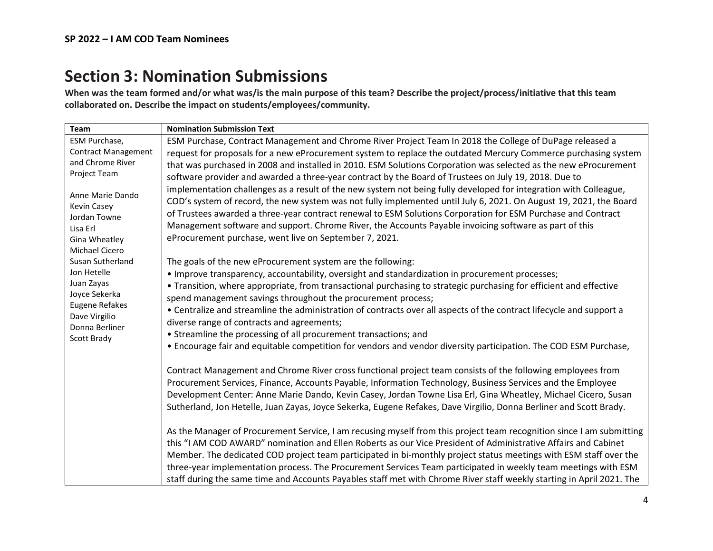# **Section 3: Nomination Submissions**

**When was the team formed and/or what was/is the main purpose of this team? Describe the project/process/initiative that this team collaborated on. Describe the impact on students/employees/community.**

| Team                                                                                                  | <b>Nomination Submission Text</b>                                                                                                                                                                                                                                                                                                                                                                                                                                                                                                                                                                      |
|-------------------------------------------------------------------------------------------------------|--------------------------------------------------------------------------------------------------------------------------------------------------------------------------------------------------------------------------------------------------------------------------------------------------------------------------------------------------------------------------------------------------------------------------------------------------------------------------------------------------------------------------------------------------------------------------------------------------------|
| ESM Purchase,<br><b>Contract Management</b>                                                           | ESM Purchase, Contract Management and Chrome River Project Team In 2018 the College of DuPage released a                                                                                                                                                                                                                                                                                                                                                                                                                                                                                               |
| and Chrome River                                                                                      | request for proposals for a new eProcurement system to replace the outdated Mercury Commerce purchasing system<br>that was purchased in 2008 and installed in 2010. ESM Solutions Corporation was selected as the new eProcurement                                                                                                                                                                                                                                                                                                                                                                     |
| Project Team                                                                                          | software provider and awarded a three-year contract by the Board of Trustees on July 19, 2018. Due to                                                                                                                                                                                                                                                                                                                                                                                                                                                                                                  |
| Anne Marie Dando<br>Kevin Casey<br>Jordan Towne<br>Lisa Erl<br>Gina Wheatley<br><b>Michael Cicero</b> | implementation challenges as a result of the new system not being fully developed for integration with Colleague,<br>COD's system of record, the new system was not fully implemented until July 6, 2021. On August 19, 2021, the Board<br>of Trustees awarded a three-year contract renewal to ESM Solutions Corporation for ESM Purchase and Contract<br>Management software and support. Chrome River, the Accounts Payable invoicing software as part of this<br>eProcurement purchase, went live on September 7, 2021.                                                                            |
| Susan Sutherland                                                                                      | The goals of the new eProcurement system are the following:                                                                                                                                                                                                                                                                                                                                                                                                                                                                                                                                            |
| Jon Hetelle<br>Juan Zayas<br>Joyce Sekerka                                                            | • Improve transparency, accountability, oversight and standardization in procurement processes;<br>• Transition, where appropriate, from transactional purchasing to strategic purchasing for efficient and effective<br>spend management savings throughout the procurement process;                                                                                                                                                                                                                                                                                                                  |
| Eugene Refakes<br>Dave Virgilio<br>Donna Berliner                                                     | • Centralize and streamline the administration of contracts over all aspects of the contract lifecycle and support a<br>diverse range of contracts and agreements;                                                                                                                                                                                                                                                                                                                                                                                                                                     |
| Scott Brady                                                                                           | • Streamline the processing of all procurement transactions; and                                                                                                                                                                                                                                                                                                                                                                                                                                                                                                                                       |
|                                                                                                       | • Encourage fair and equitable competition for vendors and vendor diversity participation. The COD ESM Purchase,                                                                                                                                                                                                                                                                                                                                                                                                                                                                                       |
|                                                                                                       | Contract Management and Chrome River cross functional project team consists of the following employees from<br>Procurement Services, Finance, Accounts Payable, Information Technology, Business Services and the Employee<br>Development Center: Anne Marie Dando, Kevin Casey, Jordan Towne Lisa Erl, Gina Wheatley, Michael Cicero, Susan<br>Sutherland, Jon Hetelle, Juan Zayas, Joyce Sekerka, Eugene Refakes, Dave Virgilio, Donna Berliner and Scott Brady.                                                                                                                                     |
|                                                                                                       | As the Manager of Procurement Service, I am recusing myself from this project team recognition since I am submitting<br>this "I AM COD AWARD" nomination and Ellen Roberts as our Vice President of Administrative Affairs and Cabinet<br>Member. The dedicated COD project team participated in bi-monthly project status meetings with ESM staff over the<br>three-year implementation process. The Procurement Services Team participated in weekly team meetings with ESM<br>staff during the same time and Accounts Payables staff met with Chrome River staff weekly starting in April 2021. The |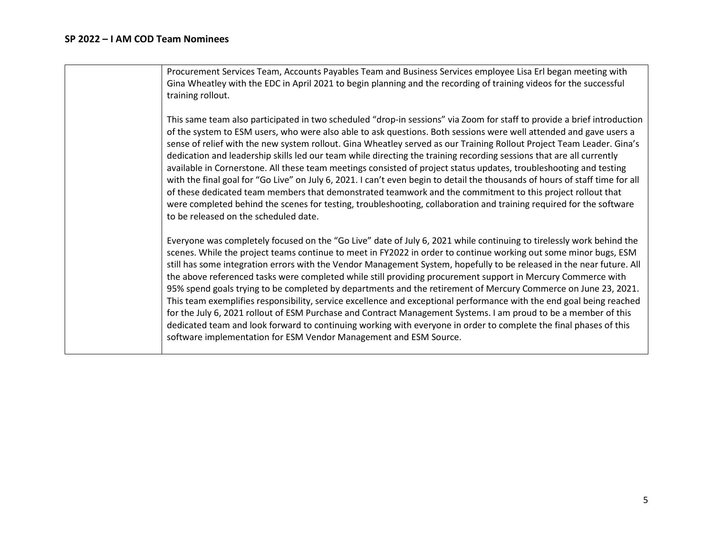Procurement Services Team, Accounts Payables Team and Business Services employee Lisa Erl began meeting with Gina Wheatley with the EDC in April 2021 to begin planning and the recording of training videos for the successful training rollout.

This same team also participated in two scheduled "drop-in sessions" via Zoom for staff to provide a brief introduction of the system to ESM users, who were also able to ask questions. Both sessions were well attended and gave users a sense of relief with the new system rollout. Gina Wheatley served as our Training Rollout Project Team Leader. Gina's dedication and leadership skills led our team while directing the training recording sessions that are all currently available in Cornerstone. All these team meetings consisted of project status updates, troubleshooting and testing with the final goal for "Go Live" on July 6, 2021. I can't even begin to detail the thousands of hours of staff time for all of these dedicated team members that demonstrated teamwork and the commitment to this project rollout that were completed behind the scenes for testing, troubleshooting, collaboration and training required for the software to be released on the scheduled date.

Everyone was completely focused on the "Go Live" date of July 6, 2021 while continuing to tirelessly work behind the scenes. While the project teams continue to meet in FY2022 in order to continue working out some minor bugs, ESM still has some integration errors with the Vendor Management System, hopefully to be released in the near future. All the above referenced tasks were completed while still providing procurement support in Mercury Commerce with 95% spend goals trying to be completed by departments and the retirement of Mercury Commerce on June 23, 2021. This team exemplifies responsibility, service excellence and exceptional performance with the end goal being reached for the July 6, 2021 rollout of ESM Purchase and Contract Management Systems. I am proud to be a member of this dedicated team and look forward to continuing working with everyone in order to complete the final phases of this software implementation for ESM Vendor Management and ESM Source.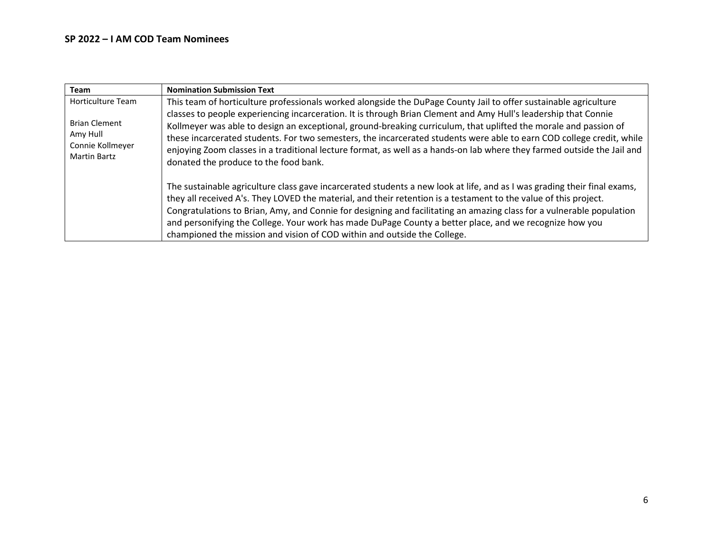| <b>Team</b>                                                  | <b>Nomination Submission Text</b>                                                                                                                                                                                                                                                                                                                                                                                                                                                |
|--------------------------------------------------------------|----------------------------------------------------------------------------------------------------------------------------------------------------------------------------------------------------------------------------------------------------------------------------------------------------------------------------------------------------------------------------------------------------------------------------------------------------------------------------------|
| <b>Horticulture Team</b><br><b>Brian Clement</b><br>Amy Hull | This team of horticulture professionals worked alongside the DuPage County Jail to offer sustainable agriculture<br>classes to people experiencing incarceration. It is through Brian Clement and Amy Hull's leadership that Connie<br>Kollmeyer was able to design an exceptional, ground-breaking curriculum, that uplifted the morale and passion of<br>these incarcerated students. For two semesters, the incarcerated students were able to earn COD college credit, while |
| Connie Kollmeyer<br><b>Martin Bartz</b>                      | enjoying Zoom classes in a traditional lecture format, as well as a hands-on lab where they farmed outside the Jail and<br>donated the produce to the food bank.                                                                                                                                                                                                                                                                                                                 |
|                                                              | The sustainable agriculture class gave incarcerated students a new look at life, and as I was grading their final exams,<br>they all received A's. They LOVED the material, and their retention is a testament to the value of this project.<br>Congratulations to Brian, Amy, and Connie for designing and facilitating an amazing class for a vulnerable population<br>and personifying the College. Your work has made DuPage County a better place, and we recognize how you |
|                                                              | championed the mission and vision of COD within and outside the College.                                                                                                                                                                                                                                                                                                                                                                                                         |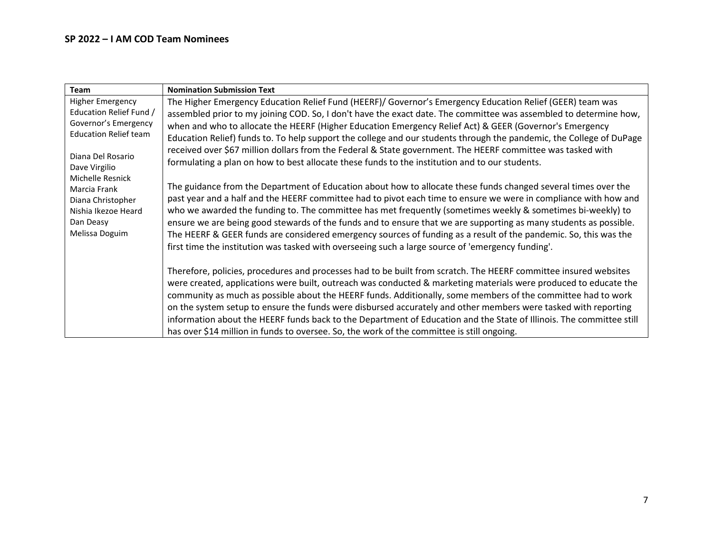| Team                         | <b>Nomination Submission Text</b>                                                                                                                                                                                  |
|------------------------------|--------------------------------------------------------------------------------------------------------------------------------------------------------------------------------------------------------------------|
| <b>Higher Emergency</b>      | The Higher Emergency Education Relief Fund (HEERF)/ Governor's Emergency Education Relief (GEER) team was                                                                                                          |
| Education Relief Fund /      | assembled prior to my joining COD. So, I don't have the exact date. The committee was assembled to determine how,                                                                                                  |
| Governor's Emergency         | when and who to allocate the HEERF (Higher Education Emergency Relief Act) & GEER (Governor's Emergency                                                                                                            |
| <b>Education Relief team</b> | Education Relief) funds to. To help support the college and our students through the pandemic, the College of DuPage                                                                                               |
| Diana Del Rosario            | received over \$67 million dollars from the Federal & State government. The HEERF committee was tasked with                                                                                                        |
| Dave Virgilio                | formulating a plan on how to best allocate these funds to the institution and to our students.                                                                                                                     |
| Michelle Resnick             |                                                                                                                                                                                                                    |
| Marcia Frank                 | The guidance from the Department of Education about how to allocate these funds changed several times over the                                                                                                     |
| Diana Christopher            | past year and a half and the HEERF committee had to pivot each time to ensure we were in compliance with how and                                                                                                   |
| Nishia Ikezoe Heard          | who we awarded the funding to. The committee has met frequently (sometimes weekly & sometimes bi-weekly) to                                                                                                        |
| Dan Deasy                    | ensure we are being good stewards of the funds and to ensure that we are supporting as many students as possible.                                                                                                  |
| Melissa Doguim               | The HEERF & GEER funds are considered emergency sources of funding as a result of the pandemic. So, this was the                                                                                                   |
|                              | first time the institution was tasked with overseeing such a large source of 'emergency funding'.                                                                                                                  |
|                              | Therefore, policies, procedures and processes had to be built from scratch. The HEERF committee insured websites                                                                                                   |
|                              | were created, applications were built, outreach was conducted & marketing materials were produced to educate the                                                                                                   |
|                              | community as much as possible about the HEERF funds. Additionally, some members of the committee had to work                                                                                                       |
|                              | on the system setup to ensure the funds were disbursed accurately and other members were tasked with reporting                                                                                                     |
|                              |                                                                                                                                                                                                                    |
|                              |                                                                                                                                                                                                                    |
|                              | information about the HEERF funds back to the Department of Education and the State of Illinois. The committee still<br>has over \$14 million in funds to oversee. So, the work of the committee is still ongoing. |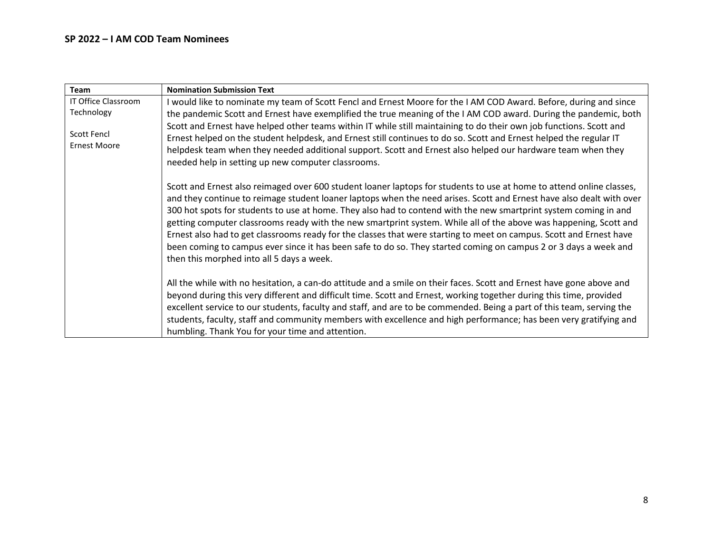### **SP 2022 – I AM COD Team Nominees**

| Team                               | <b>Nomination Submission Text</b>                                                                                                                                                                                                                                                                                                                                                                                                                                                                                                                                                                                                                                                                                                                                             |
|------------------------------------|-------------------------------------------------------------------------------------------------------------------------------------------------------------------------------------------------------------------------------------------------------------------------------------------------------------------------------------------------------------------------------------------------------------------------------------------------------------------------------------------------------------------------------------------------------------------------------------------------------------------------------------------------------------------------------------------------------------------------------------------------------------------------------|
| IT Office Classroom                | I would like to nominate my team of Scott Fencl and Ernest Moore for the I AM COD Award. Before, during and since                                                                                                                                                                                                                                                                                                                                                                                                                                                                                                                                                                                                                                                             |
| Technology                         | the pandemic Scott and Ernest have exemplified the true meaning of the I AM COD award. During the pandemic, both                                                                                                                                                                                                                                                                                                                                                                                                                                                                                                                                                                                                                                                              |
| Scott Fencl<br><b>Ernest Moore</b> | Scott and Ernest have helped other teams within IT while still maintaining to do their own job functions. Scott and<br>Ernest helped on the student helpdesk, and Ernest still continues to do so. Scott and Ernest helped the regular IT<br>helpdesk team when they needed additional support. Scott and Ernest also helped our hardware team when they<br>needed help in setting up new computer classrooms.                                                                                                                                                                                                                                                                                                                                                                |
|                                    | Scott and Ernest also reimaged over 600 student loaner laptops for students to use at home to attend online classes,<br>and they continue to reimage student loaner laptops when the need arises. Scott and Ernest have also dealt with over<br>300 hot spots for students to use at home. They also had to contend with the new smartprint system coming in and<br>getting computer classrooms ready with the new smartprint system. While all of the above was happening, Scott and<br>Ernest also had to get classrooms ready for the classes that were starting to meet on campus. Scott and Ernest have<br>been coming to campus ever since it has been safe to do so. They started coming on campus 2 or 3 days a week and<br>then this morphed into all 5 days a week. |
|                                    | All the while with no hesitation, a can-do attitude and a smile on their faces. Scott and Ernest have gone above and<br>beyond during this very different and difficult time. Scott and Ernest, working together during this time, provided<br>excellent service to our students, faculty and staff, and are to be commended. Being a part of this team, serving the<br>students, faculty, staff and community members with excellence and high performance; has been very gratifying and<br>humbling. Thank You for your time and attention.                                                                                                                                                                                                                                 |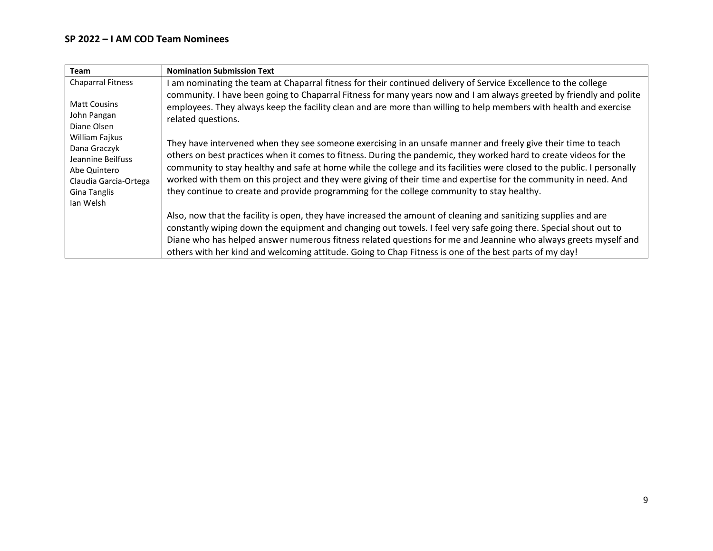| <b>Team</b>                                                                                                                                                                                                       | <b>Nomination Submission Text</b>                                                                                                                                                                                                                                                                                                                                                                                                                                                                                                                                                                                                                                                                                                                                                                                                                                                                                                                                    |
|-------------------------------------------------------------------------------------------------------------------------------------------------------------------------------------------------------------------|----------------------------------------------------------------------------------------------------------------------------------------------------------------------------------------------------------------------------------------------------------------------------------------------------------------------------------------------------------------------------------------------------------------------------------------------------------------------------------------------------------------------------------------------------------------------------------------------------------------------------------------------------------------------------------------------------------------------------------------------------------------------------------------------------------------------------------------------------------------------------------------------------------------------------------------------------------------------|
| <b>Chaparral Fitness</b><br><b>Matt Cousins</b><br>John Pangan<br>Diane Olsen<br>William Fajkus<br>Dana Graczyk<br>Jeannine Beilfuss<br>Abe Quintero<br>Claudia Garcia-Ortega<br><b>Gina Tanglis</b><br>Ian Welsh | I am nominating the team at Chaparral fitness for their continued delivery of Service Excellence to the college<br>community. I have been going to Chaparral Fitness for many years now and I am always greeted by friendly and polite<br>employees. They always keep the facility clean and are more than willing to help members with health and exercise<br>related questions.<br>They have intervened when they see someone exercising in an unsafe manner and freely give their time to teach<br>others on best practices when it comes to fitness. During the pandemic, they worked hard to create videos for the<br>community to stay healthy and safe at home while the college and its facilities were closed to the public. I personally<br>worked with them on this project and they were giving of their time and expertise for the community in need. And<br>they continue to create and provide programming for the college community to stay healthy. |
|                                                                                                                                                                                                                   | Also, now that the facility is open, they have increased the amount of cleaning and sanitizing supplies and are<br>constantly wiping down the equipment and changing out towels. I feel very safe going there. Special shout out to<br>Diane who has helped answer numerous fitness related questions for me and Jeannine who always greets myself and<br>others with her kind and welcoming attitude. Going to Chap Fitness is one of the best parts of my day!                                                                                                                                                                                                                                                                                                                                                                                                                                                                                                     |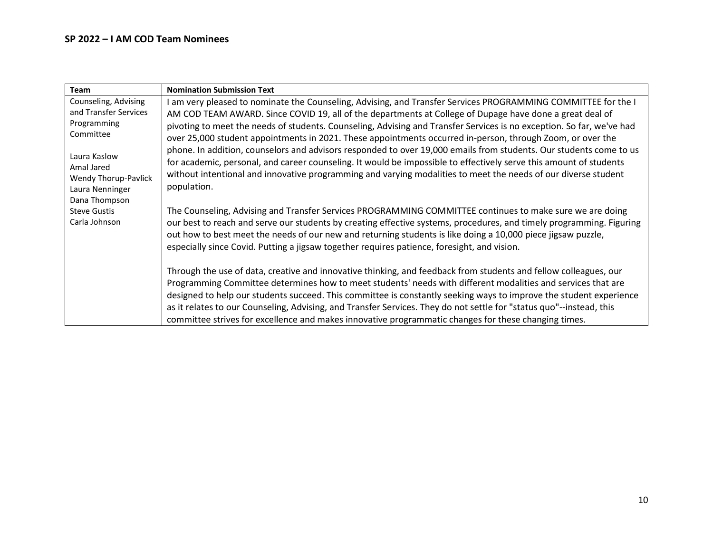| Team                                                                                                    | <b>Nomination Submission Text</b>                                                                                                                                                                                                                                                                                                                                                                                                                                                                                                                                                                                                                                                                          |
|---------------------------------------------------------------------------------------------------------|------------------------------------------------------------------------------------------------------------------------------------------------------------------------------------------------------------------------------------------------------------------------------------------------------------------------------------------------------------------------------------------------------------------------------------------------------------------------------------------------------------------------------------------------------------------------------------------------------------------------------------------------------------------------------------------------------------|
| Counseling, Advising<br>and Transfer Services<br>Programming<br>Committee<br>Laura Kaslow<br>Amal Jared | am very pleased to nominate the Counseling, Advising, and Transfer Services PROGRAMMING COMMITTEE for the I<br>AM COD TEAM AWARD. Since COVID 19, all of the departments at College of Dupage have done a great deal of<br>pivoting to meet the needs of students. Counseling, Advising and Transfer Services is no exception. So far, we've had<br>over 25,000 student appointments in 2021. These appointments occurred in-person, through Zoom, or over the<br>phone. In addition, counselors and advisors responded to over 19,000 emails from students. Our students come to us<br>for academic, personal, and career counseling. It would be impossible to effectively serve this amount of students |
| <b>Wendy Thorup-Pavlick</b><br>Laura Nenninger<br>Dana Thompson<br><b>Steve Gustis</b><br>Carla Johnson | without intentional and innovative programming and varying modalities to meet the needs of our diverse student<br>population.<br>The Counseling, Advising and Transfer Services PROGRAMMING COMMITTEE continues to make sure we are doing<br>our best to reach and serve our students by creating effective systems, procedures, and timely programming. Figuring<br>out how to best meet the needs of our new and returning students is like doing a 10,000 piece jigsaw puzzle,                                                                                                                                                                                                                          |
|                                                                                                         | especially since Covid. Putting a jigsaw together requires patience, foresight, and vision.<br>Through the use of data, creative and innovative thinking, and feedback from students and fellow colleagues, our<br>Programming Committee determines how to meet students' needs with different modalities and services that are<br>designed to help our students succeed. This committee is constantly seeking ways to improve the student experience<br>as it relates to our Counseling, Advising, and Transfer Services. They do not settle for "status quo"--instead, this                                                                                                                              |
|                                                                                                         | committee strives for excellence and makes innovative programmatic changes for these changing times.                                                                                                                                                                                                                                                                                                                                                                                                                                                                                                                                                                                                       |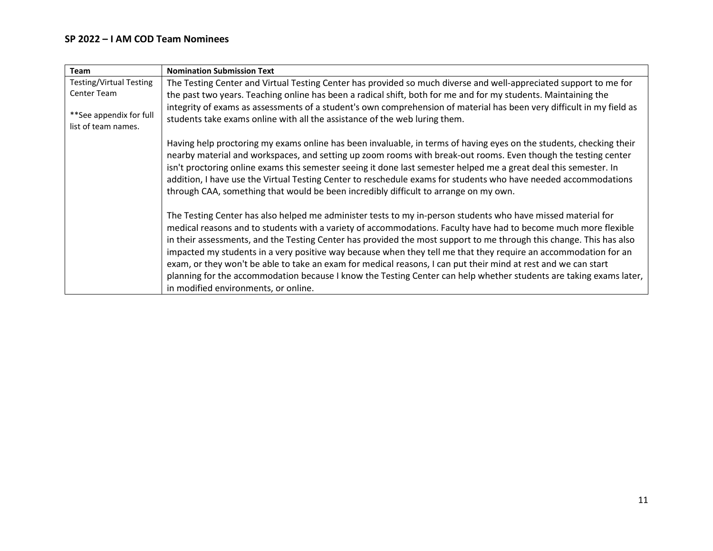### **SP 2022 – I AM COD Team Nominees**

| Team                                           | <b>Nomination Submission Text</b>                                                                                                                                                                                                                                                                                                                                                                                                                                                                                                                                                                                                                                                                                                                         |
|------------------------------------------------|-----------------------------------------------------------------------------------------------------------------------------------------------------------------------------------------------------------------------------------------------------------------------------------------------------------------------------------------------------------------------------------------------------------------------------------------------------------------------------------------------------------------------------------------------------------------------------------------------------------------------------------------------------------------------------------------------------------------------------------------------------------|
| <b>Testing/Virtual Testing</b>                 | The Testing Center and Virtual Testing Center has provided so much diverse and well-appreciated support to me for                                                                                                                                                                                                                                                                                                                                                                                                                                                                                                                                                                                                                                         |
| Center Team                                    | the past two years. Teaching online has been a radical shift, both for me and for my students. Maintaining the                                                                                                                                                                                                                                                                                                                                                                                                                                                                                                                                                                                                                                            |
| **See appendix for full<br>list of team names. | integrity of exams as assessments of a student's own comprehension of material has been very difficult in my field as<br>students take exams online with all the assistance of the web luring them.                                                                                                                                                                                                                                                                                                                                                                                                                                                                                                                                                       |
|                                                | Having help proctoring my exams online has been invaluable, in terms of having eyes on the students, checking their<br>nearby material and workspaces, and setting up zoom rooms with break-out rooms. Even though the testing center<br>isn't proctoring online exams this semester seeing it done last semester helped me a great deal this semester. In<br>addition, I have use the Virtual Testing Center to reschedule exams for students who have needed accommodations<br>through CAA, something that would be been incredibly difficult to arrange on my own.                                                                                                                                                                                     |
|                                                | The Testing Center has also helped me administer tests to my in-person students who have missed material for<br>medical reasons and to students with a variety of accommodations. Faculty have had to become much more flexible<br>in their assessments, and the Testing Center has provided the most support to me through this change. This has also<br>impacted my students in a very positive way because when they tell me that they require an accommodation for an<br>exam, or they won't be able to take an exam for medical reasons, I can put their mind at rest and we can start<br>planning for the accommodation because I know the Testing Center can help whether students are taking exams later,<br>in modified environments, or online. |